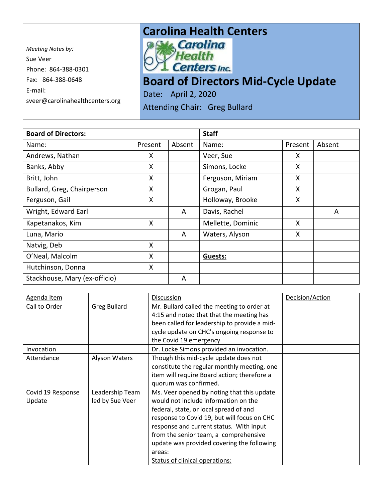*Meeting Notes by:*  Sue Veer Phone: 864-388-0301 Fax: 864-388-0648 E-mail: sveer@carolinahealthcenters.org

## **Carolina Health Centers**<br>*<b>P.M. Carolina*



## **Board of Directors Mid-Cycle Update**

Date: April 2, 2020 Attending Chair: Greg Bullard

| <b>Board of Directors:</b>    |         | <b>Staff</b> |                   |         |        |
|-------------------------------|---------|--------------|-------------------|---------|--------|
| Name:                         | Present | Absent       | Name:             | Present | Absent |
| Andrews, Nathan               | X       |              | Veer, Sue         | X.      |        |
| Banks, Abby                   | X       |              | Simons, Locke     | X       |        |
| Britt, John                   | X       |              | Ferguson, Miriam  | X.      |        |
| Bullard, Greg, Chairperson    | X       |              | Grogan, Paul      | X       |        |
| Ferguson, Gail                | X       |              | Holloway, Brooke  | X       |        |
| Wright, Edward Earl           |         | A            | Davis, Rachel     |         | A      |
| Kapetanakos, Kim              | X       |              | Mellette, Dominic | X       |        |
| Luna, Mario                   |         | A            | Waters, Alyson    | X       |        |
| Natvig, Deb                   | X       |              |                   |         |        |
| O'Neal, Malcolm               | X       |              | <b>Guests:</b>    |         |        |
| Hutchinson, Donna             | X       |              |                   |         |        |
| Stackhouse, Mary (ex-officio) |         | A            |                   |         |        |

| Agenda Item       |                      | Discussion                                   | Decision/Action |
|-------------------|----------------------|----------------------------------------------|-----------------|
| Call to Order     | <b>Greg Bullard</b>  | Mr. Bullard called the meeting to order at   |                 |
|                   |                      | 4:15 and noted that that the meeting has     |                 |
|                   |                      | been called for leadership to provide a mid- |                 |
|                   |                      | cycle update on CHC's ongoing response to    |                 |
|                   |                      | the Covid 19 emergency                       |                 |
| Invocation        |                      | Dr. Locke Simons provided an invocation.     |                 |
| Attendance        | <b>Alyson Waters</b> | Though this mid-cycle update does not        |                 |
|                   |                      | constitute the regular monthly meeting, one  |                 |
|                   |                      | item will require Board action; therefore a  |                 |
|                   |                      | quorum was confirmed.                        |                 |
| Covid 19 Response | Leadership Team      | Ms. Veer opened by noting that this update   |                 |
| Update            | led by Sue Veer      | would not include information on the         |                 |
|                   |                      | federal, state, or local spread of and       |                 |
|                   |                      | response to Covid 19, but will focus on CHC  |                 |
|                   |                      | response and current status. With input      |                 |
|                   |                      | from the senior team, a comprehensive        |                 |
|                   |                      | update was provided covering the following   |                 |
|                   |                      | areas:                                       |                 |
|                   |                      | Status of clinical operations:               |                 |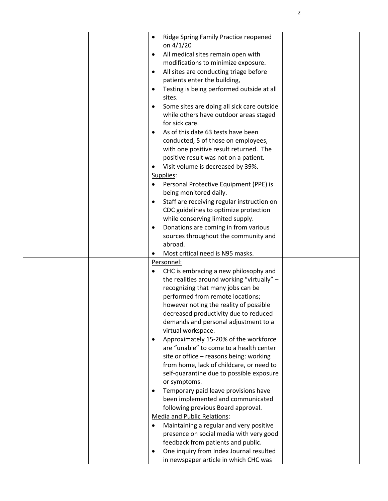| Ridge Spring Family Practice reopened<br>on 4/1/20<br>All medical sites remain open with<br>modifications to minimize exposure.<br>All sites are conducting triage before<br>٠<br>patients enter the building,<br>Testing is being performed outside at all<br>sites.<br>Some sites are doing all sick care outside<br>while others have outdoor areas staged                                                                                                                                                                                                                                                                                                                         |
|---------------------------------------------------------------------------------------------------------------------------------------------------------------------------------------------------------------------------------------------------------------------------------------------------------------------------------------------------------------------------------------------------------------------------------------------------------------------------------------------------------------------------------------------------------------------------------------------------------------------------------------------------------------------------------------|
| for sick care.<br>As of this date 63 tests have been<br>conducted, 5 of those on employees,<br>with one positive result returned. The<br>positive result was not on a patient.<br>Visit volume is decreased by 39%.                                                                                                                                                                                                                                                                                                                                                                                                                                                                   |
| Supplies:<br>Personal Protective Equipment (PPE) is<br>being monitored daily.<br>Staff are receiving regular instruction on<br>$\bullet$<br>CDC guidelines to optimize protection<br>while conserving limited supply.<br>Donations are coming in from various<br>٠<br>sources throughout the community and<br>abroad.<br>Most critical need is N95 masks.                                                                                                                                                                                                                                                                                                                             |
| Personnel:<br>CHC is embracing a new philosophy and<br>the realities around working "virtually" -<br>recognizing that many jobs can be<br>performed from remote locations;<br>however noting the reality of possible<br>decreased productivity due to reduced<br>demands and personal adjustment to a<br>virtual workspace.<br>Approximately 15-20% of the workforce<br>are "unable" to come to a health center<br>site or office - reasons being: working<br>from home, lack of childcare, or need to<br>self-quarantine due to possible exposure<br>or symptoms.<br>Temporary paid leave provisions have<br>been implemented and communicated<br>following previous Board approval. |
| <b>Media and Public Relations:</b><br>Maintaining a regular and very positive<br>$\bullet$<br>presence on social media with very good<br>feedback from patients and public.<br>One inquiry from Index Journal resulted<br>٠<br>in newspaper article in which CHC was                                                                                                                                                                                                                                                                                                                                                                                                                  |

2